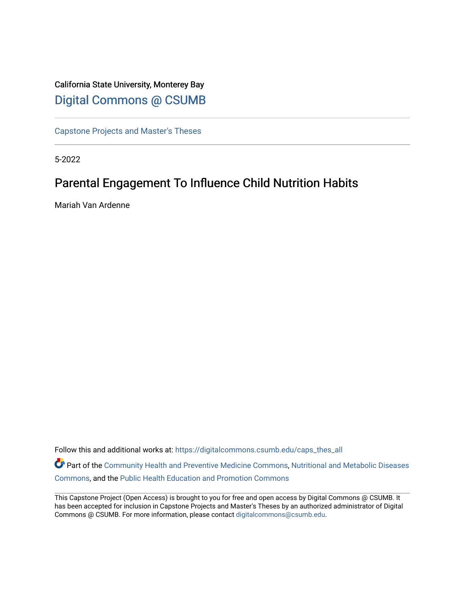# California State University, Monterey Bay [Digital Commons @ CSUMB](https://digitalcommons.csumb.edu/)

[Capstone Projects and Master's Theses](https://digitalcommons.csumb.edu/caps_thes_all)

5-2022

# Parental Engagement To Influence Child Nutrition Habits

Mariah Van Ardenne

Follow this and additional works at: [https://digitalcommons.csumb.edu/caps\\_thes\\_all](https://digitalcommons.csumb.edu/caps_thes_all?utm_source=digitalcommons.csumb.edu%2Fcaps_thes_all%2F1269&utm_medium=PDF&utm_campaign=PDFCoverPages)

Part of the [Community Health and Preventive Medicine Commons](https://network.bepress.com/hgg/discipline/744?utm_source=digitalcommons.csumb.edu%2Fcaps_thes_all%2F1269&utm_medium=PDF&utm_campaign=PDFCoverPages), Nutritional and Metabolic Diseases [Commons](https://network.bepress.com/hgg/discipline/1003?utm_source=digitalcommons.csumb.edu%2Fcaps_thes_all%2F1269&utm_medium=PDF&utm_campaign=PDFCoverPages), and the [Public Health Education and Promotion Commons](https://network.bepress.com/hgg/discipline/743?utm_source=digitalcommons.csumb.edu%2Fcaps_thes_all%2F1269&utm_medium=PDF&utm_campaign=PDFCoverPages) 

This Capstone Project (Open Access) is brought to you for free and open access by Digital Commons @ CSUMB. It has been accepted for inclusion in Capstone Projects and Master's Theses by an authorized administrator of Digital Commons @ CSUMB. For more information, please contact [digitalcommons@csumb.edu](mailto:digitalcommons@csumb.edu).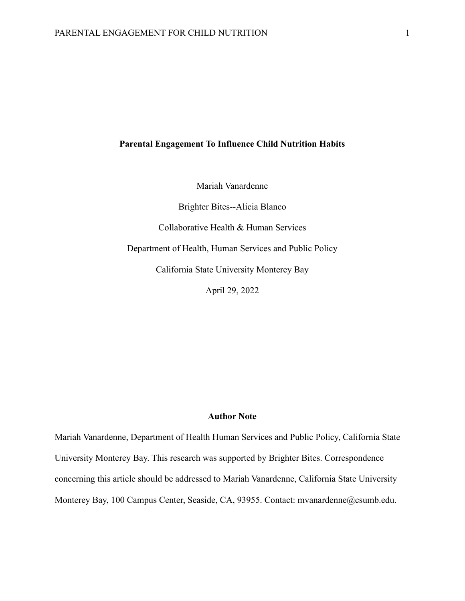# **Parental Engagement To Influence Child Nutrition Habits**

Mariah Vanardenne

Brighter Bites--Alicia Blanco Collaborative Health & Human Services Department of Health, Human Services and Public Policy California State University Monterey Bay April 29, 2022

# **Author Note**

Mariah Vanardenne, Department of Health Human Services and Public Policy, California State University Monterey Bay. This research was supported by Brighter Bites. Correspondence concerning this article should be addressed to Mariah Vanardenne, California State University Monterey Bay, 100 Campus Center, Seaside, CA, 93955. Contact: mvanardenne@csumb.edu.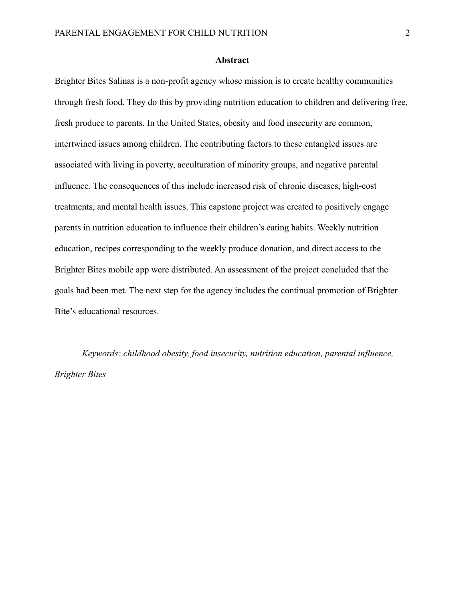### **Abstract**

Brighter Bites Salinas is a non-profit agency whose mission is to create healthy communities through fresh food. They do this by providing nutrition education to children and delivering free, fresh produce to parents. In the United States, obesity and food insecurity are common, intertwined issues among children. The contributing factors to these entangled issues are associated with living in poverty, acculturation of minority groups, and negative parental influence. The consequences of this include increased risk of chronic diseases, high-cost treatments, and mental health issues. This capstone project was created to positively engage parents in nutrition education to influence their children's eating habits. Weekly nutrition education, recipes corresponding to the weekly produce donation, and direct access to the Brighter Bites mobile app were distributed. An assessment of the project concluded that the goals had been met. The next step for the agency includes the continual promotion of Brighter Bite's educational resources.

*Keywords: childhood obesity, food insecurity, nutrition education, parental influence, Brighter Bites*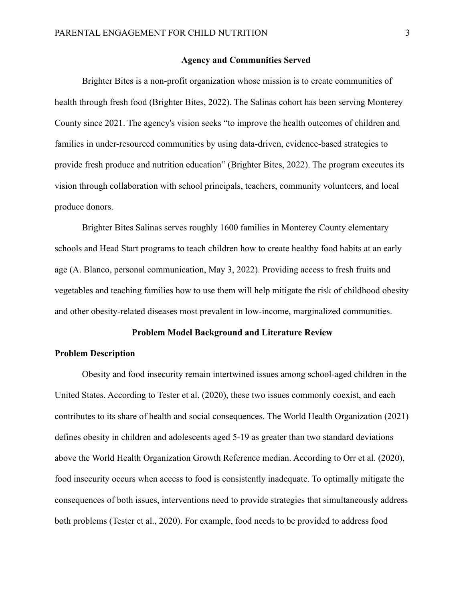### **Agency and Communities Served**

Brighter Bites is a non-profit organization whose mission is to create communities of health through fresh food (Brighter Bites, 2022). The Salinas cohort has been serving Monterey County since 2021. The agency's vision seeks "to improve the health outcomes of children and families in under-resourced communities by using data-driven, evidence-based strategies to provide fresh produce and nutrition education" (Brighter Bites, 2022). The program executes its vision through collaboration with school principals, teachers, community volunteers, and local produce donors.

Brighter Bites Salinas serves roughly 1600 families in Monterey County elementary schools and Head Start programs to teach children how to create healthy food habits at an early age (A. Blanco, personal communication, May 3, 2022). Providing access to fresh fruits and vegetables and teaching families how to use them will help mitigate the risk of childhood obesity and other obesity-related diseases most prevalent in low-income, marginalized communities.

### **Problem Model Background and Literature Review**

### **Problem Description**

Obesity and food insecurity remain intertwined issues among school-aged children in the United States. According to Tester et al. (2020), these two issues commonly coexist, and each contributes to its share of health and social consequences. The World Health Organization (2021) defines obesity in children and adolescents aged 5-19 as greater than two standard deviations above the World Health Organization Growth Reference median. According to Orr et al. (2020), food insecurity occurs when access to food is consistently inadequate. To optimally mitigate the consequences of both issues, interventions need to provide strategies that simultaneously address both problems (Tester et al., 2020). For example, food needs to be provided to address food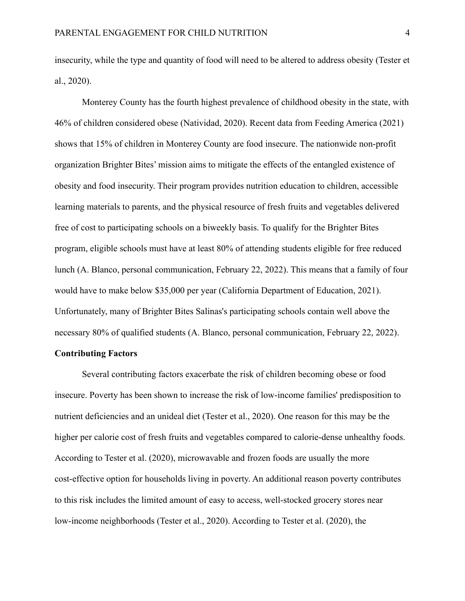insecurity, while the type and quantity of food will need to be altered to address obesity (Tester et al., 2020).

Monterey County has the fourth highest prevalence of childhood obesity in the state, with 46% of children considered obese (Natividad, 2020). Recent data from Feeding America (2021) shows that 15% of children in Monterey County are food insecure. The nationwide non-profit organization Brighter Bites' mission aims to mitigate the effects of the entangled existence of obesity and food insecurity. Their program provides nutrition education to children, accessible learning materials to parents, and the physical resource of fresh fruits and vegetables delivered free of cost to participating schools on a biweekly basis. To qualify for the Brighter Bites program, eligible schools must have at least 80% of attending students eligible for free reduced lunch (A. Blanco, personal communication, February 22, 2022). This means that a family of four would have to make below \$35,000 per year (California Department of Education, 2021). Unfortunately, many of Brighter Bites Salinas's participating schools contain well above the necessary 80% of qualified students (A. Blanco, personal communication, February 22, 2022).

### **Contributing Factors**

Several contributing factors exacerbate the risk of children becoming obese or food insecure. Poverty has been shown to increase the risk of low-income families' predisposition to nutrient deficiencies and an unideal diet (Tester et al., 2020). One reason for this may be the higher per calorie cost of fresh fruits and vegetables compared to calorie-dense unhealthy foods. According to Tester et al. (2020), microwavable and frozen foods are usually the more cost-effective option for households living in poverty. An additional reason poverty contributes to this risk includes the limited amount of easy to access, well-stocked grocery stores near low-income neighborhoods (Tester et al., 2020). According to Tester et al. (2020), the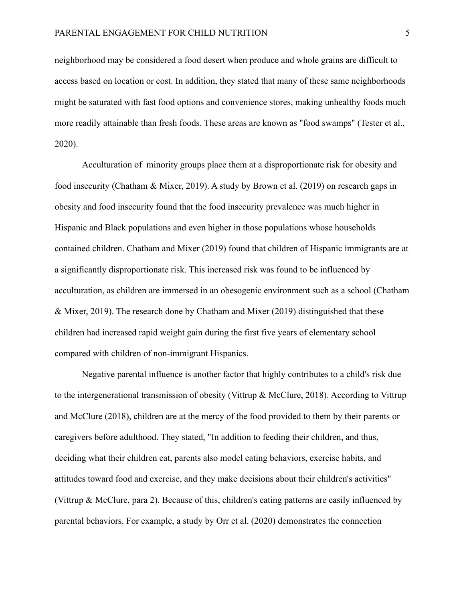neighborhood may be considered a food desert when produce and whole grains are difficult to access based on location or cost. In addition, they stated that many of these same neighborhoods might be saturated with fast food options and convenience stores, making unhealthy foods much more readily attainable than fresh foods. These areas are known as "food swamps" (Tester et al., 2020).

Acculturation of minority groups place them at a disproportionate risk for obesity and food insecurity (Chatham & Mixer, 2019). A study by Brown et al. (2019) on research gaps in obesity and food insecurity found that the food insecurity prevalence was much higher in Hispanic and Black populations and even higher in those populations whose households contained children. Chatham and Mixer (2019) found that children of Hispanic immigrants are at a significantly disproportionate risk. This increased risk was found to be influenced by acculturation, as children are immersed in an obesogenic environment such as a school (Chatham & Mixer, 2019). The research done by Chatham and Mixer (2019) distinguished that these children had increased rapid weight gain during the first five years of elementary school compared with children of non-immigrant Hispanics.

Negative parental influence is another factor that highly contributes to a child's risk due to the intergenerational transmission of obesity (Vittrup & McClure, 2018). According to Vittrup and McClure (2018), children are at the mercy of the food provided to them by their parents or caregivers before adulthood. They stated, "In addition to feeding their children, and thus, deciding what their children eat, parents also model eating behaviors, exercise habits, and attitudes toward food and exercise, and they make decisions about their children's activities" (Vittrup & McClure, para 2). Because of this, children's eating patterns are easily influenced by parental behaviors. For example, a study by Orr et al. (2020) demonstrates the connection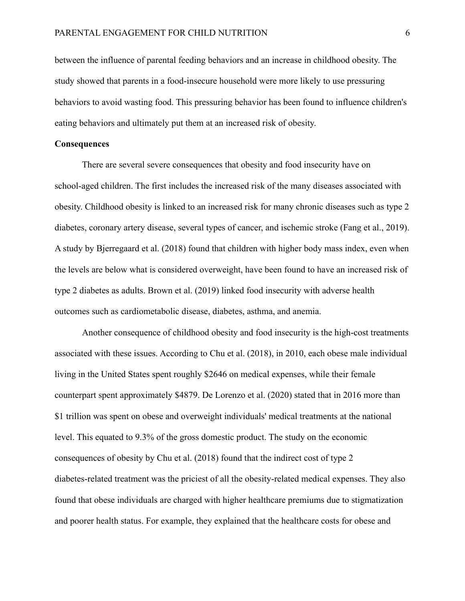between the influence of parental feeding behaviors and an increase in childhood obesity. The study showed that parents in a food-insecure household were more likely to use pressuring behaviors to avoid wasting food. This pressuring behavior has been found to influence children's eating behaviors and ultimately put them at an increased risk of obesity.

### **Consequences**

There are several severe consequences that obesity and food insecurity have on school-aged children. The first includes the increased risk of the many diseases associated with obesity. Childhood obesity is linked to an increased risk for many chronic diseases such as type 2 diabetes, coronary artery disease, several types of cancer, and ischemic stroke (Fang et al., 2019). A study by Bjerregaard et al. (2018) found that children with higher body mass index, even when the levels are below what is considered overweight, have been found to have an increased risk of type 2 diabetes as adults. Brown et al. (2019) linked food insecurity with adverse health outcomes such as cardiometabolic disease, diabetes, asthma, and anemia.

Another consequence of childhood obesity and food insecurity is the high-cost treatments associated with these issues. According to Chu et al. (2018), in 2010, each obese male individual living in the United States spent roughly \$2646 on medical expenses, while their female counterpart spent approximately \$4879. De Lorenzo et al. (2020) stated that in 2016 more than \$1 trillion was spent on obese and overweight individuals' medical treatments at the national level. This equated to 9.3% of the gross domestic product. The study on the economic consequences of obesity by Chu et al. (2018) found that the indirect cost of type 2 diabetes-related treatment was the priciest of all the obesity-related medical expenses. They also found that obese individuals are charged with higher healthcare premiums due to stigmatization and poorer health status. For example, they explained that the healthcare costs for obese and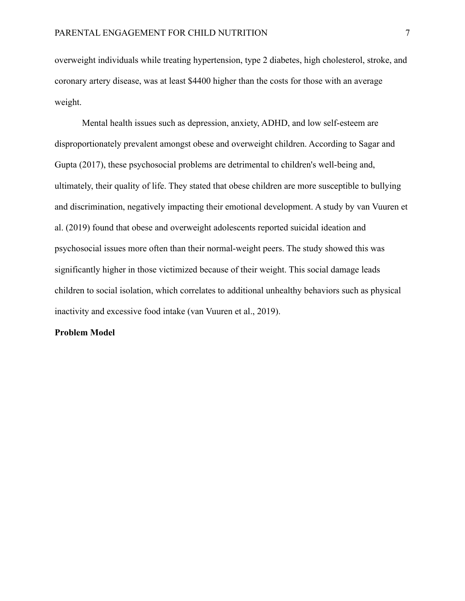overweight individuals while treating hypertension, type 2 diabetes, high cholesterol, stroke, and coronary artery disease, was at least \$4400 higher than the costs for those with an average weight.

Mental health issues such as depression, anxiety, ADHD, and low self-esteem are disproportionately prevalent amongst obese and overweight children. According to Sagar and Gupta (2017), these psychosocial problems are detrimental to children's well-being and, ultimately, their quality of life. They stated that obese children are more susceptible to bullying and discrimination, negatively impacting their emotional development. A study by van Vuuren et al. (2019) found that obese and overweight adolescents reported suicidal ideation and psychosocial issues more often than their normal-weight peers. The study showed this was significantly higher in those victimized because of their weight. This social damage leads children to social isolation, which correlates to additional unhealthy behaviors such as physical inactivity and excessive food intake (van Vuuren et al., 2019).

#### **Problem Model**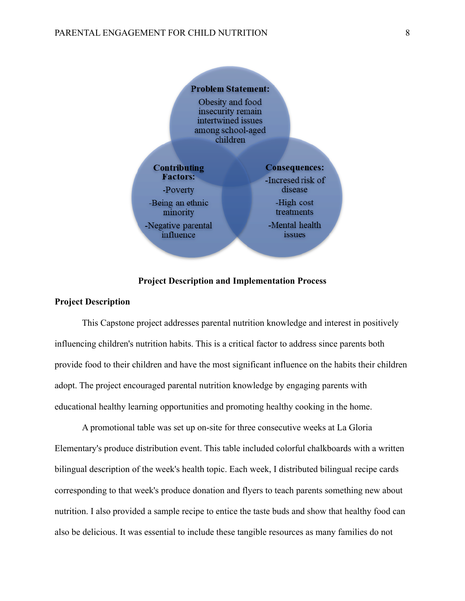

### **Project Description and Implementation Process**

## **Project Description**

This Capstone project addresses parental nutrition knowledge and interest in positively influencing children's nutrition habits. This is a critical factor to address since parents both provide food to their children and have the most significant influence on the habits their children adopt. The project encouraged parental nutrition knowledge by engaging parents with educational healthy learning opportunities and promoting healthy cooking in the home.

A promotional table was set up on-site for three consecutive weeks at La Gloria Elementary's produce distribution event. This table included colorful chalkboards with a written bilingual description of the week's health topic. Each week, I distributed bilingual recipe cards corresponding to that week's produce donation and flyers to teach parents something new about nutrition. I also provided a sample recipe to entice the taste buds and show that healthy food can also be delicious. It was essential to include these tangible resources as many families do not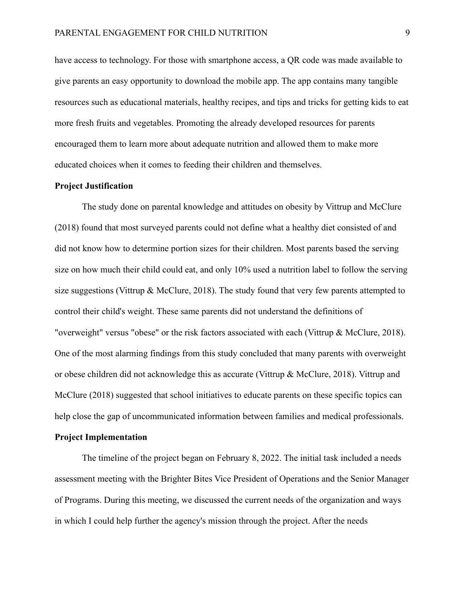have access to technology. For those with smartphone access, a QR code was made available to give parents an easy opportunity to download the mobile app. The app contains many tangible resources such as educational materials, healthy recipes, and tips and tricks for getting kids to eat more fresh fruits and vegetables. Promoting the already developed resources for parents encouraged them to learn more about adequate nutrition and allowed them to make more educated choices when it comes to feeding their children and themselves.

#### **Project Justification**

The study done on parental knowledge and attitudes on obesity by Vittrup and McClure (2018) found that most surveyed parents could not define what a healthy diet consisted of and did not know how to determine portion sizes for their children. Most parents based the serving size on how much their child could eat, and only 10% used a nutrition label to follow the serving size suggestions (Vittrup & McClure, 2018). The study found that very few parents attempted to control their child's weight. These same parents did not understand the definitions of "overweight" versus "obese" or the risk factors associated with each (Vittrup & McClure, 2018). One of the most alarming findings from this study concluded that many parents with overweight or obese children did not acknowledge this as accurate (Vittrup & McClure, 2018). Vittrup and McClure (2018) suggested that school initiatives to educate parents on these specific topics can help close the gap of uncommunicated information between families and medical professionals.

#### **Project Implementation**

The timeline of the project began on February 8, 2022. The initial task included a needs assessment meeting with the Brighter Bites Vice President of Operations and the Senior Manager of Programs. During this meeting, we discussed the current needs of the organization and ways in which I could help further the agency's mission through the project. After the needs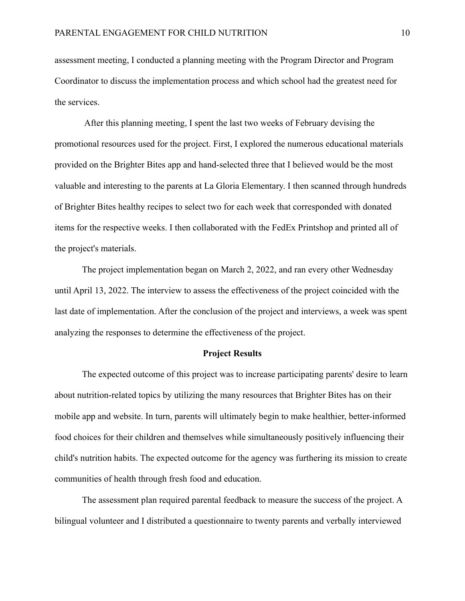assessment meeting, I conducted a planning meeting with the Program Director and Program Coordinator to discuss the implementation process and which school had the greatest need for the services.

After this planning meeting, I spent the last two weeks of February devising the promotional resources used for the project. First, I explored the numerous educational materials provided on the Brighter Bites app and hand-selected three that I believed would be the most valuable and interesting to the parents at La Gloria Elementary. I then scanned through hundreds of Brighter Bites healthy recipes to select two for each week that corresponded with donated items for the respective weeks. I then collaborated with the FedEx Printshop and printed all of the project's materials.

The project implementation began on March 2, 2022, and ran every other Wednesday until April 13, 2022. The interview to assess the effectiveness of the project coincided with the last date of implementation. After the conclusion of the project and interviews, a week was spent analyzing the responses to determine the effectiveness of the project.

### **Project Results**

The expected outcome of this project was to increase participating parents' desire to learn about nutrition-related topics by utilizing the many resources that Brighter Bites has on their mobile app and website. In turn, parents will ultimately begin to make healthier, better-informed food choices for their children and themselves while simultaneously positively influencing their child's nutrition habits. The expected outcome for the agency was furthering its mission to create communities of health through fresh food and education.

The assessment plan required parental feedback to measure the success of the project. A bilingual volunteer and I distributed a questionnaire to twenty parents and verbally interviewed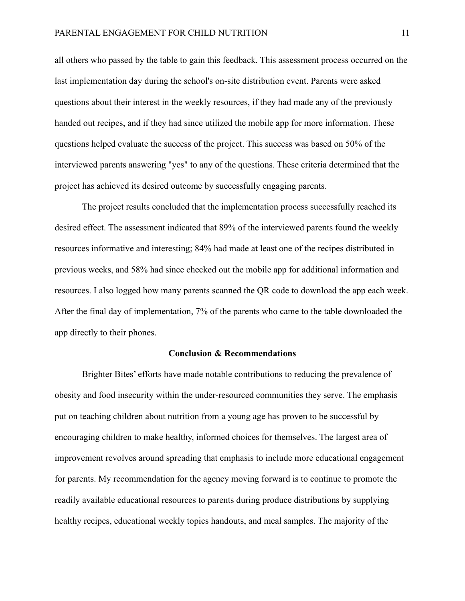all others who passed by the table to gain this feedback. This assessment process occurred on the last implementation day during the school's on-site distribution event. Parents were asked questions about their interest in the weekly resources, if they had made any of the previously handed out recipes, and if they had since utilized the mobile app for more information. These questions helped evaluate the success of the project. This success was based on 50% of the interviewed parents answering "yes" to any of the questions. These criteria determined that the project has achieved its desired outcome by successfully engaging parents.

The project results concluded that the implementation process successfully reached its desired effect. The assessment indicated that 89% of the interviewed parents found the weekly resources informative and interesting; 84% had made at least one of the recipes distributed in previous weeks, and 58% had since checked out the mobile app for additional information and resources. I also logged how many parents scanned the QR code to download the app each week. After the final day of implementation, 7% of the parents who came to the table downloaded the app directly to their phones.

#### **Conclusion & Recommendations**

Brighter Bites' efforts have made notable contributions to reducing the prevalence of obesity and food insecurity within the under-resourced communities they serve. The emphasis put on teaching children about nutrition from a young age has proven to be successful by encouraging children to make healthy, informed choices for themselves. The largest area of improvement revolves around spreading that emphasis to include more educational engagement for parents. My recommendation for the agency moving forward is to continue to promote the readily available educational resources to parents during produce distributions by supplying healthy recipes, educational weekly topics handouts, and meal samples. The majority of the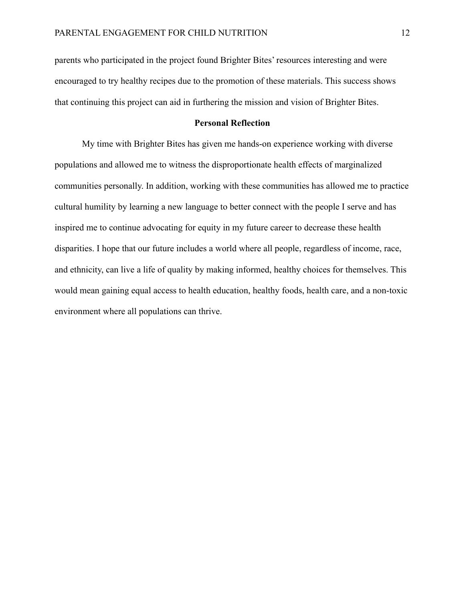parents who participated in the project found Brighter Bites' resources interesting and were encouraged to try healthy recipes due to the promotion of these materials. This success shows that continuing this project can aid in furthering the mission and vision of Brighter Bites.

# **Personal Reflection**

My time with Brighter Bites has given me hands-on experience working with diverse populations and allowed me to witness the disproportionate health effects of marginalized communities personally. In addition, working with these communities has allowed me to practice cultural humility by learning a new language to better connect with the people I serve and has inspired me to continue advocating for equity in my future career to decrease these health disparities. I hope that our future includes a world where all people, regardless of income, race, and ethnicity, can live a life of quality by making informed, healthy choices for themselves. This would mean gaining equal access to health education, healthy foods, health care, and a non-toxic environment where all populations can thrive.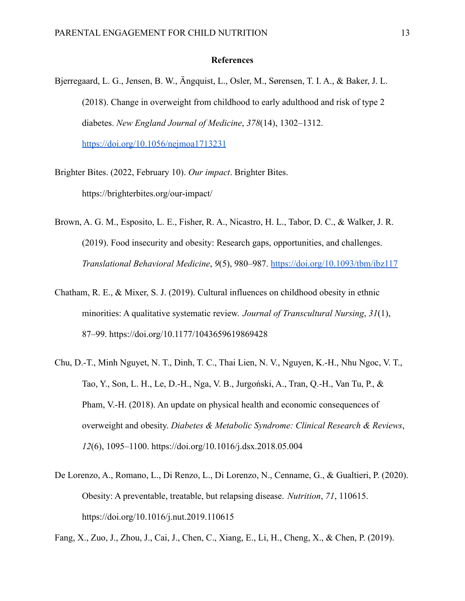### **References**

- Bjerregaard, L. G., Jensen, B. W., Ängquist, L., Osler, M., Sørensen, T. I. A., & Baker, J. L. (2018). Change in overweight from childhood to early adulthood and risk of type 2 diabetes. *New England Journal of Medicine*, *378*(14), 1302–1312. <https://doi.org/10.1056/nejmoa1713231>
- Brighter Bites. (2022, February 10). *Our impact*. Brighter Bites. https://brighterbites.org/our-impact/
- Brown, A. G. M., Esposito, L. E., Fisher, R. A., Nicastro, H. L., Tabor, D. C., & Walker, J. R. (2019). Food insecurity and obesity: Research gaps, opportunities, and challenges. *Translational Behavioral Medicine*, *9*(5), 980–987. <https://doi.org/10.1093/tbm/ibz117>
- Chatham, R. E., & Mixer, S. J. (2019). Cultural influences on childhood obesity in ethnic minorities: A qualitative systematic review. *Journal of Transcultural Nursing*, *31*(1), 87–99. https://doi.org/10.1177/1043659619869428
- Chu, D.-T., Minh Nguyet, N. T., Dinh, T. C., Thai Lien, N. V., Nguyen, K.-H., Nhu Ngoc, V. T., Tao, Y., Son, L. H., Le, D.-H., Nga, V. B., Jurgoński, A., Tran, Q.-H., Van Tu, P., & Pham, V.-H. (2018). An update on physical health and economic consequences of overweight and obesity. *Diabetes & Metabolic Syndrome: Clinical Research & Reviews*, *12*(6), 1095–1100. https://doi.org/10.1016/j.dsx.2018.05.004
- De Lorenzo, A., Romano, L., Di Renzo, L., Di Lorenzo, N., Cenname, G., & Gualtieri, P. (2020). Obesity: A preventable, treatable, but relapsing disease. *Nutrition*, *71*, 110615. https://doi.org/10.1016/j.nut.2019.110615

Fang, X., Zuo, J., Zhou, J., Cai, J., Chen, C., Xiang, E., Li, H., Cheng, X., & Chen, P. (2019).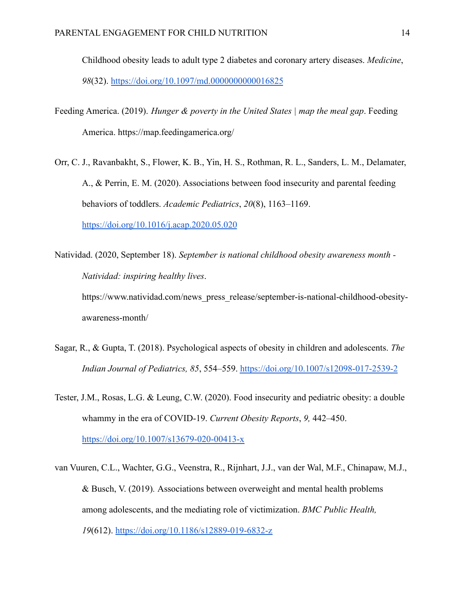Childhood obesity leads to adult type 2 diabetes and coronary artery diseases. *Medicine*, *98*(32). <https://doi.org/10.1097/md.0000000000016825>

Feeding America. (2019). *Hunger & poverty in the United States | map the meal gap*. Feeding America. https://map.feedingamerica.org/

Orr, C. J., Ravanbakht, S., Flower, K. B., Yin, H. S., Rothman, R. L., Sanders, L. M., Delamater, A., & Perrin, E. M. (2020). Associations between food insecurity and parental feeding behaviors of toddlers. *Academic Pediatrics*, *20*(8), 1163–1169[.](https://doi.org/10.1016/j.acap.2020.05.020) <https://doi.org/10.1016/j.acap.2020.05.020>

Natividad. (2020, September 18). *September is national childhood obesity awareness month - Natividad: inspiring healthy lives*. https://www.natividad.com/news\_press\_release/september-is-national-childhood-obesityawareness-month/

- Sagar, R., & Gupta, T. (2018). Psychological aspects of obesity in children and adolescents. *The Indian Journal of Pediatrics, 85*, 554–559. <https://doi.org/10.1007/s12098-017-2539-2>
- Tester, J.M., Rosas, L.G. & Leung, C.W. (2020). Food insecurity and pediatric obesity: a double whammy in the era of COVID-19. *Current Obesity Reports*, *9,* 442–450. <https://doi.org/10.1007/s13679-020-00413-x>
- van Vuuren, C.L., Wachter, G.G., Veenstra, R., Rijnhart, J.J., van der Wal, M.F., Chinapaw, M.J., & Busch, V. (2019)*.* Associations between overweight and mental health problems among adolescents, and the mediating role of victimization. *BMC Public Health, 19*(612). <https://doi.org/10.1186/s12889-019-6832-z>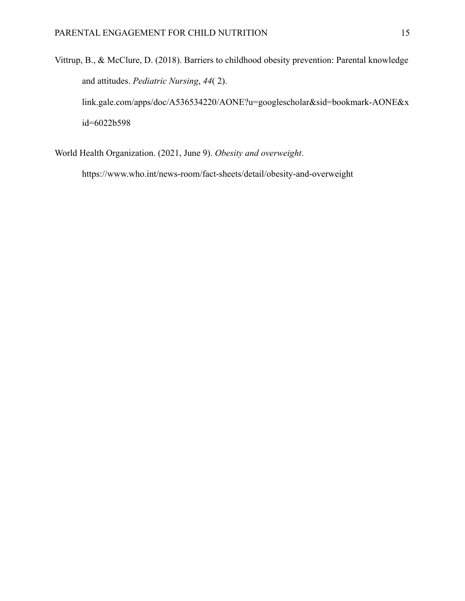Vittrup, B., & McClure, D. (2018). Barriers to childhood obesity prevention: Parental knowledge and attitudes. *Pediatric Nursing*, *44*( 2). link.gale.com/apps/doc/A536534220/AONE?u=googlescholar&sid=bookmark-AONE&x id=6022b598

World Health Organization. (2021, June 9). *Obesity and overweight*.

https://www.who.int/news-room/fact-sheets/detail/obesity-and-overweight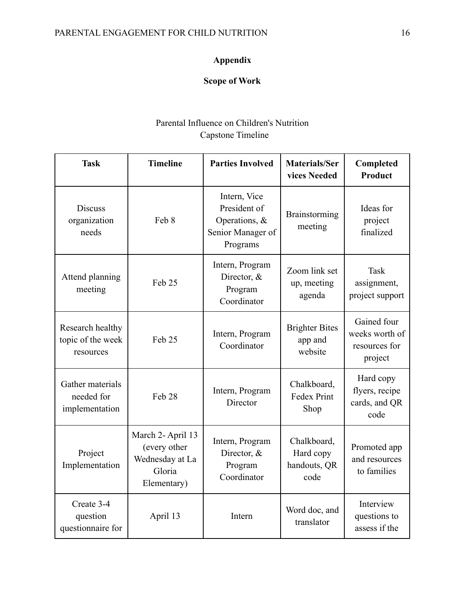# **Appendix**

# **Scope of Work**

# Parental Influence on Children's Nutrition Capstone Timeline

| <b>Task</b>                                        | <b>Timeline</b>                                                               | <b>Parties Involved</b>                                                           | <b>Materials/Ser</b><br>vices Needed             | Completed<br><b>Product</b>                               |
|----------------------------------------------------|-------------------------------------------------------------------------------|-----------------------------------------------------------------------------------|--------------------------------------------------|-----------------------------------------------------------|
| <b>Discuss</b><br>organization<br>needs            | Feb 8                                                                         | Intern, Vice<br>President of<br>Operations, $\&$<br>Senior Manager of<br>Programs | Brainstorming<br>meeting                         | Ideas for<br>project<br>finalized                         |
| Attend planning<br>meeting                         | Feb <sub>25</sub>                                                             | Intern, Program<br>Director, $&$<br>Program<br>Coordinator                        | Zoom link set<br>up, meeting<br>agenda           | <b>Task</b><br>assignment,<br>project support             |
| Research healthy<br>topic of the week<br>resources | Feb 25                                                                        | Intern, Program<br>Coordinator                                                    | <b>Brighter Bites</b><br>app and<br>website      | Gained four<br>weeks worth of<br>resources for<br>project |
| Gather materials<br>needed for<br>implementation   | Feb 28                                                                        | Intern, Program<br>Director                                                       | Chalkboard,<br>Fedex Print<br>Shop               | Hard copy<br>flyers, recipe<br>cards, and QR<br>code      |
| Project<br>Implementation                          | March 2- April 13<br>(every other<br>Wednesday at La<br>Gloria<br>Elementary) | Intern, Program<br>Director, &<br>Program<br>Coordinator                          | Chalkboard,<br>Hard copy<br>handouts, QR<br>code | Promoted app<br>and resources<br>to families              |
| Create 3-4<br>question<br>questionnaire for        | April 13                                                                      | Intern                                                                            | Word doc, and<br>translator                      | Interview<br>questions to<br>assess if the                |